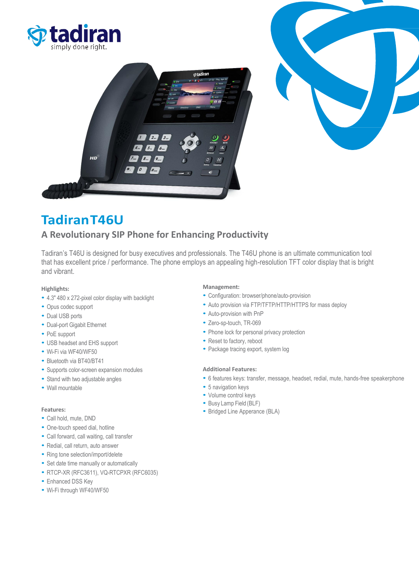





# **TadiranT46U**

# **A Revolutionary SIP Phone for Enhancing Productivity**

Tadiran's T46U is designed for busy executives and professionals. The T46U phone is an ultimate communication tool that has excellent price / performance. The phone employs an appealing high-resolution TFT color display that is bright and vibrant.

## **Highlights:**

- 4.3" 480 x 272-pixel color display with backlight
- Opus codec support
- Dual USB ports
- Dual-port Gigabit Ethernet
- PoE support
- USB headset and EHS support
- Wi-Fi via WF40/WF50
- Bluetooth via BT40/BT41
- Supports color-screen expansion modules
- Stand with two adjustable angles
- Wall mountable

# **Features:**

- Call hold, mute, DND
- One-touch speed dial, hotline
- Call forward, call waiting, call transfer
- Redial, call return, auto answer
- Ring tone selection/import/delete
- Set date time manually or automatically
- RTCP-XR (RFC3611), VQ-RTCPXR (RFC6035)
- Enhanced DSS Key
- Wi-Fi through WF40/WF50

## **Management:**

- Configuration: browser/phone/auto-provision
- Auto provision via FTP/TFTP/HTTP/HTTPS for mass deploy
- Auto-provision with PnP
- Zero-sp-touch, TR-069
- Phone lock for personal privacy protection
- Reset to factory, reboot
- Package tracing export, system log

## **Additional Features:**

- 6 features keys: transfer, message, headset, redial, mute, hands-free speakerphone
- 5 navigation keys
- Volume control keys
- Busy Lamp Field (BLF)
- Bridged Line Apperance (BLA)